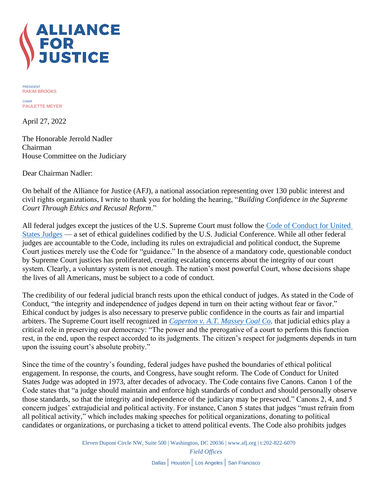

PRESIDENT RAKIM BROOKS

CHAIR PAULETTE MEYER

April 27, 2022

The Honorable Jerrold Nadler Chairman House Committee on the Judiciary

Dear Chairman Nadler:

On behalf of the Alliance for Justice (AFJ), a national association representing over 130 public interest and civil rights organizations, I write to thank you for holding the hearing, "*Building Confidence in the Supreme Court Through Ethics and Recusal Reform*."

All federal judges except the justices of the U.S. Supreme Court must follow the [Code of Conduct for United](https://www.uscourts.gov/judges-judgeships/code-conduct-united-states-judges)  [States Judges](https://www.uscourts.gov/judges-judgeships/code-conduct-united-states-judges) — a set of ethical guidelines codified by the U.S. Judicial Conference. While all other federal judges are accountable to the Code, including its rules on extrajudicial and political conduct, the Supreme Court justices merely use the Code for "guidance." In the absence of a mandatory code, questionable conduct by Supreme Court justices has proliferated, creating escalating concerns about the integrity of our court system. Clearly, a voluntary system is not enough. The nation's most powerful Court, whose decisions shape the lives of all Americans, must be subject to a code of conduct.

The credibility of our federal judicial branch rests upon the ethical conduct of judges. As stated in the Code of Conduct, "the integrity and independence of judges depend in turn on their acting without fear or favor." Ethical conduct by judges is also necessary to preserve public confidence in the courts as fair and impartial arbiters. The Supreme Court itself recognized in *[Caperton v. A.T. Massey Coal Co.](https://supreme.justia.com/cases/federal/us/556/868/)* that judicial ethics play a critical role in preserving our democracy: "The power and the prerogative of a court to perform this function rest, in the end, upon the respect accorded to its judgments. The citizen's respect for judgments depends in turn upon the issuing court's absolute probity."

Since the time of the country's founding, federal judges have pushed the boundaries of ethical political engagement. In response, the courts, and Congress, have sought reform. The Code of Conduct for United States Judge was adopted in 1973, after decades of advocacy. The Code contains five Canons. Canon 1 of the Code states that "a judge should maintain and enforce high standards of conduct and should personally observe those standards, so that the integrity and independence of the judiciary may be preserved." Canons 2, 4, and 5 concern judges' extrajudicial and political activity. For instance, Canon 5 states that judges "must refrain from all political activity," which includes making speeches for political organizations, donating to political candidates or organizations, or purchasing a ticket to attend political events. The Code also prohibits judges

> Eleven Dupont Circle NW, Suite 500 | Washington, DC 20036 [| www.afj.org](http://www.afj.org/) | t:202-822-6070 *Field Offices* Dallas | Houston | Los Angeles | San Francisco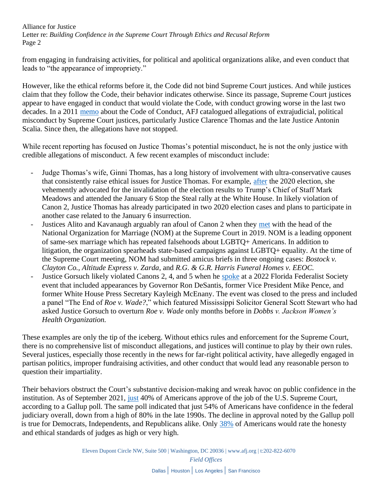Alliance for Justice Letter re: *Building Confidence in the Supreme Court Through Ethics and Recusal Reform* Page 2

from engaging in fundraising activities, for political and apolitical organizations alike, and even conduct that leads to "the appearance of impropriety."

However, like the ethical reforms before it, the Code did not bind Supreme Court justices. And while justices claim that they follow the Code, their behavior indicates otherwise. Since its passage, Supreme Court justices appear to have engaged in conduct that would violate the Code, with conduct growing worse in the last two decades. In a 2011 [memo](https://www.afj.org/wp-content/uploads/2022/04/Code-of-Conduct-AFJ-Memo.pdf) about the Code of Conduct, AFJ catalogued allegations of extrajudicial, political misconduct by Supreme Court justices, particularly Justice Clarence Thomas and the late Justice Antonin Scalia. Since then, the allegations have not stopped.

While recent reporting has focused on Justice Thomas's potential misconduct, he is not the only justice with credible allegations of misconduct. A few recent examples of misconduct include:

- Judge Thomas's wife, Ginni Thomas, has a long history of involvement with ultra-conservative causes that consistently raise ethical issues for Justice Thomas. For example, [after](https://www.newyorker.com/magazine/2022/01/31/is-ginni-thomas-a-threat-to-the-supreme-court) the 2020 election, she vehemently advocated for the invalidation of the election results to Trump's Chief of Staff Mark Meadows and attended the January 6 Stop the Steal rally at the White House. In likely violation of Canon 2, Justice Thomas has already participated in two 2020 election cases and plans to participate in another case related to the January 6 insurrection.
- Justices Alito and Kavanaugh arguably ran afoul of Canon 2 when they [met](https://www.newyorker.com/news/our-columnists/the-homophobic-activist-who-won-an-audience-with-two-supreme-court-justices) with the head of the National Organization for Marriage (NOM) at the Supreme Court in 2019. NOM is a leading opponent of same-sex marriage which has repeated falsehoods about LGBTQ+ Americans. In addition to litigation, the organization spearheads state-based campaigns against LGBTQ+ equality. At the time of the Supreme Court meeting, NOM had submitted amicus briefs in three ongoing cases: *Bostock v. Clayton Co.*, *Altitude Express v. Zarda*, and *R.G. & G.R. Harris Funeral Homes v. EEOC.*
- Justice Gorsuch likely violated Canons 2, 4, and 5 when he [spoke](https://www.tallahassee.com/story/news/local/state/2022/02/02/supreme-court-justice-neil-gorsuch-florida-federalist-society-talk-media-barred/9313360002/) at a 2022 Florida Federalist Society event that included appearances by Governor Ron DeSantis, former Vice President Mike Pence, and former White House Press Secretary Kayleigh McEnany. The event was closed to the press and included a panel "The End of *Roe v. Wade?*," which featured Mississippi Solicitor General Scott Stewart who had asked Justice Gorsuch to overturn *Roe v. Wade* only months before in *Dobbs v. Jackson Women's Health Organization.*

These examples are only the tip of the iceberg. Without ethics rules and enforcement for the Supreme Court, there is no comprehensive list of misconduct allegations, and justices will continue to play by their own rules. Several justices, especially those recently in the news for far-right political activity, have allegedly engaged in partisan politics, improper fundraising activities, and other conduct that would lead any reasonable person to question their impartiality.

Their behaviors obstruct the Court's substantive decision-making and wreak havoc on public confidence in the institution. As of September 2021, [just](https://news.gallup.com/poll/354908/approval-supreme-court-down-new-low.aspx) 40% of Americans approve of the job of the U.S. Supreme Court, according to a Gallup poll. The same poll indicated that just 54% of Americans have confidence in the federal judiciary overall, down from a high of 80% in the late 1990s. The decline in approval noted by the Gallup poll is true for Democrats, Independents, and Republicans alike. Only [38%](https://news.gallup.com/poll/388649/military-brass-judges-among-professions-new-image-lows.aspx) of Americans would rate the honesty and ethical standards of judges as high or very high.